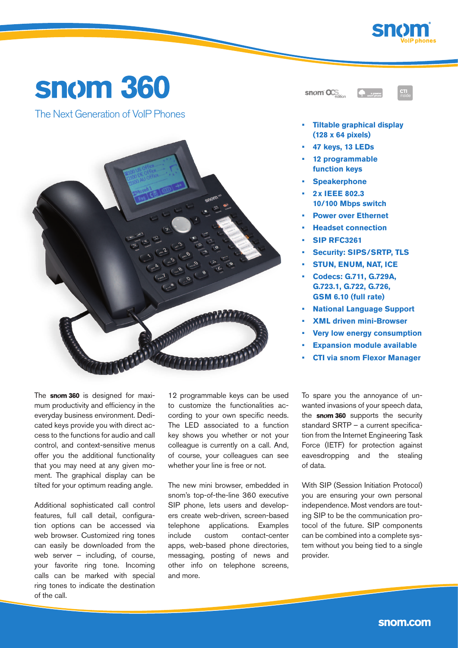

# **snom 360**

The Next Generation of VoIP Phones



| $\sim$ snom $\sigma$ .<br>edition | snom phone |
|-----------------------------------|------------|
|                                   |            |



- **Tiltable graphical display (128 x 64 pixels)**
- **• 47 keys, 13 LEDs**
- **12 programmable function keys**
- **• Speakerphone**
- **• 2x IEEE 802.3 10/100 Mbps switch**
- **• Power over Ethernet**
- **• Headset connection**
- **• SIP RFC3261**
- **• Security: SIPS/SRTP, TLS**
- **• STUN, ENUM, NAT, ICE**
- **• Codecs: G.711, G.729A, G.723.1, G.722, G.726, GSM 6.10 (full rate)**
- **• National Language Support**
- **• XML driven mini-Browser**
- **• Very low energy consumption**
- **• Expansion module available**
- **• CTI via snom Flexor Manager**

The snom 360 is designed for maximum productivity and efficiency in the everyday business environment. Dedicated keys provide you with direct access to the functions for audio and call control, and context-sensitive menus offer you the additional functionality that you may need at any given moment. The graphical display can be tilted for your optimum reading angle.

Additional sophisticated call control features, full call detail, configuration options can be accessed via web browser. Customized ring tones can easily be downloaded from the web server – including, of course, your favorite ring tone. Incoming calls can be marked with special ring tones to indicate the destination of the call.

12 programmable keys can be used to customize the functionalities according to your own specific needs. The LED associated to a function key shows you whether or not your colleague is currently on a call. And, of course, your colleagues can see whether your line is free or not.

The new mini browser, embedded in snom's top-of-the-line 360 executive SIP phone, lets users and developers create web-driven, screen-based telephone applications. Examples include custom contact-center apps, web-based phone directories, messaging, posting of news and other info on telephone screens, and more.

To spare you the annoyance of unwanted invasions of your speech data, the snom 360 supports the security standard SRTP – a current specification from the Internet Engineering Task Force (IETF) for protection against eavesdropping and the stealing of data.

With SIP (Session Initiation Protocol) you are ensuring your own personal independence. Most vendors are touting SIP to be the communication protocol of the future. SIP components can be combined into a complete system without you being tied to a single provider.

snom.com